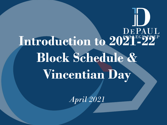# Introduction to 2021-22<sup>P</sup> **Block Schedule & Vincentian Day**

*April 2021*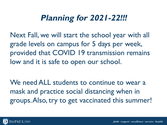## **Planning for 2021-22!!!**

Next Fall, we will start the school year with all grade levels on campus for 5 days per week, provided that COVID 19 transmission remains low and it is safe to open our school.

We need ALL students to continue to wear a mask and practice social distancing when in groups. Also, try to get vaccinated this summer!

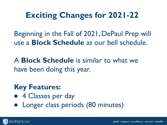## **Exciting Changes for 2021-22**

Beginning in the Fall of 2021, DePaul Prep will use a **Block Schedule** as our bell schedule.

A **Block Schedule** is similar to what we have been doing this year.

## **Key Features:**

- 4 Classes per day
- Longer class periods (80 minutes)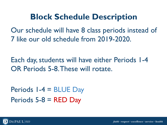## **Block Schedule Description**

Our schedule will have 8 class periods instead of 7 like our old schedule from 2019-2020.

Each day, students will have either Periods 1-4 OR Periods 5-8. These will rotate.

Periods 1-4 = BLUE Day Periods  $5-8 =$  RED Day

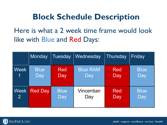## **Block Schedule Description**

Here is what a 2 week time frame would look like with Blue and Red Days:

|                | Monday         | Tuesday     | Wednesday       | Thursday   | Friday      |
|----------------|----------------|-------------|-----------------|------------|-------------|
| <b>Week</b>    | <b>Blue</b>    | <b>Red</b>  | <b>Blue RAM</b> | <b>Red</b> | <b>Blue</b> |
|                | Day            | Day         | Day             | Day        | Day         |
| Week           | <b>Red Day</b> | <b>Blue</b> | Vincentian      | <b>Red</b> | <b>Blue</b> |
| 2 <sup>1</sup> |                | Day         | Day             | Day        | Day         |

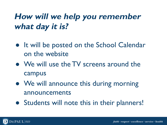**How will we help you remember what day it is?**

- It will be posted on the School Calendar on the website
- We will use the TV screens around the campus
- We will announce this during morning announcements
- Students will note this in their planners!

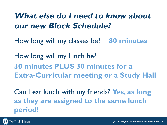## **What else do I need to know about our new Block Schedule?**

How long will my classes be? **80 minutes**

How long will my lunch be? **30 minutes PLUS 30 minutes for a Extra-Curricular meeting or a Study Hall**

Can I eat lunch with my friends? **Yes, as long as they are assigned to the same lunch period!**

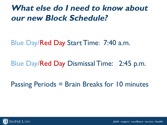## **What else do I need to know about our new Block Schedule?**

Blue Day/Red Day Start Time: 7:40 a.m.

Blue Day/Red Day Dismissal Time: 2:45 p.m.

Passing Periods = Brain Breaks for 10 minutes

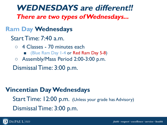**WEDNESDAYS are different!! There are two types of Wednesdays...**

#### **Ram Day Wednesdays**

Start Time: 7:40 a.m.

- 4 Classes 70 minutes each ■ (Blue Ram Day 1-4 or Red Ram Day 5-8)
- Assembly/Mass Period 2:00-3:00 p.m.

Dismissal Time: 3:00 p.m.

#### **Vincentian Day Wednesdays**

Start Time: 12:00 p.m. (Unless your grade has Advisory) Dismissal Time: 3:00 p.m.

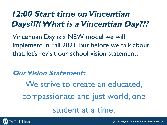## **12:00 Start time on Vincentian Days?!?! What is a Vincentian Day???**

Vincentian Day is a NEW model we will implement in Fall 2021. But before we talk about that, let's revisit our school vision statement:

### **Our Vision Statement:**

We strive to create an educated, compassionate and just world, one student at a time.

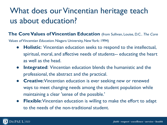## What does our Vincentian heritage teach us about education?

#### **The Core Values of Vincentian Education** (from Sullivan, Louise, D.C.. The Core

Values of Vincentian Education. Niagara University, New York: 1994)

- **Holistic**: Vincentian education seeks to respond to the intellectual, spiritual, moral, and affective needs of students-- educating the heart as well as the head.
- **Integrated**: Vincentian education blends the humanistic and the professional, the abstract and the practical.
- **Creative**: Vincentian education is ever seeking new or renewed ways to meet changing needs among the student population while maintaining a clear 'sense of the possible.'
- **Flexible**: Vincentian education is willing to make the effort to adapt to the needs of the non-traditional student.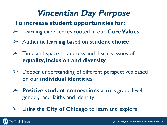## **Vincentian Day Purpose**

#### **To increase student opportunities for:**

- ➢ Learning experiences rooted in our **Core Values**
- ➢ Authentic learning based on **student choice**
- $\triangleright$  Time and space to address and discuss issues of **equality, inclusion and diversity**
- $\triangleright$  Deeper understanding of different perspectives based on our **individual identities**
- ➢ **Positive student connections** across grade level, gender, race, faiths and identity
- ➢ Using the **City of Chicago** to learn and explore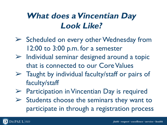## **What does a Vincentian Day Look Like?**

- ➢ Scheduled on every other Wednesday from 12:00 to 3:00 p.m. for a semester
- $\triangleright$  Individual seminar designed around a topic that is connected to our Core Values
- $\triangleright$  Taught by individual faculty/staff or pairs of faculty/staff
- ➢ Participation in Vincentian Day is required
- $\triangleright$  Students choose the seminars they want to participate in through a registration process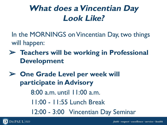## **What does a Vincentian Day Look Like?**

- In the MORNINGS on Vincentian Day, two things will happen:
- ➢ **Teachers will be working in Professional Development**
- ➢ **One Grade Level per week will participate in Advisory**  8:00 a.m. until 11:00 a.m. 11:00 - 11:55 Lunch Break 12:00 - 3:00 Vincentian Day Seminar

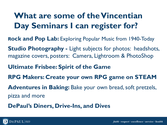## **What are some of the Vincentian Day Seminars I can register for?**

**Rock and Pop Lab:** Exploring Popular Music from 1940-Today

**Studio Photography -** Light subjects for photos: headshots, magazine covers, posters: Camera, Lightroom & PhotoShop

**Ultimate Frisbee: Spirit of the Game**

**RPG Makers: Create your own RPG game on STEAM**

**Adventures in Baking:** Bake your own bread, soft pretzels, pizza and more

**DePaul's Diners, Drive-Ins, and Dives**

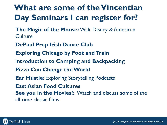## **What are some of the Vincentian Day Seminars I can register for?**

- **The Magic of the Mouse:** Walt Disney & American **Culture**
- **DePaul Prep Irish Dance Club**
- **Exploring Chicago by Foot and Train**
- I**ntroduction to Camping and Backpacking**
- **Pizza Can Change the World**
- **Ear Hustle:** Exploring Storytelling Podcasts
- **East Asian Food Cultures**

**See you in the Movies!:** Watch and discuss some of the all-time classic films